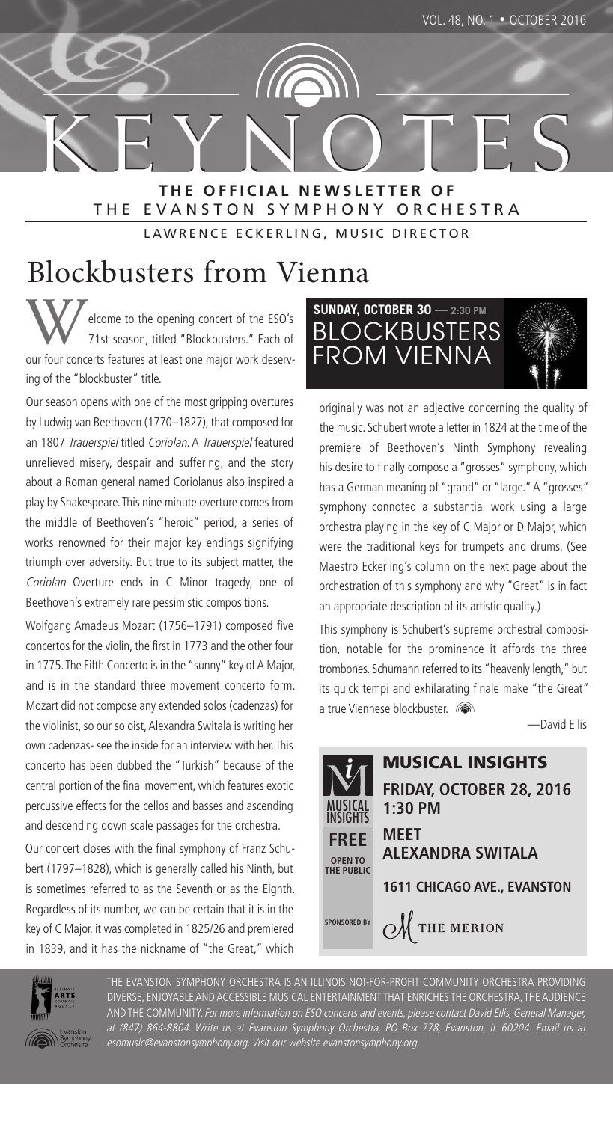**K E Y N O T E S K E Y N O T E S T H E O F F I C I A L N E W S L E T T E R O F** THE EVANSTON SYMPHONY ORCHESTRA

LAWRENCE ECKERLING, MUSIC DIRECTOR

### Blockbusters from Vienna

elcome to the opening concert of the ESO's 71st season, titled "Blockbusters." Each of our four concerts features at least one major work deserving of the "blockbuster" title.

Our season opens with one of the most gripping overtures by Ludwig van Beethoven (1770–1827), that composed for an 1807 Trauerspiel titled Coriolan. A Trauerspiel featured unrelieved misery, despair and suffering, and the story about a Roman general named Coriolanus also inspired a play by Shakespeare. This nine minute overture comes from the middle of Beethoven's "heroic" period, a series of works renowned for their major key endings signifying triumph over adversity. But true to its subject matter, the Coriolan Overture ends in C Minor tragedy, one of Beethoven's extremely rare pessimistic compositions.

Wolfgang Amadeus Mozart (1756–1791) composed five concertos for the violin, the first in 1773 and the other four in 1775. The Fifth Concerto is in the "sunny" key of A Major, and is in the standard three movement concerto form. Mozart did not compose any extended solos (cadenzas) for the violinist, so our soloist, Alexandra Switala is writing her own cadenzas- see the inside for an interview with her. This concerto has been dubbed the "Turkish" because of the central portion of the final movement, which features exotic percussive effects for the cellos and basses and ascending and descending down scale passages for the orchestra.

Our concert closes with the final symphony of Franz Schubert (1797–1828), which is generally called his Ninth, but is sometimes referred to as the Seventh or as the Eighth. Regardless of its number, we can be certain that it is in the key of C Major, it was completed in 1825/26 and premiered in 1839, and it has the nickname of "the Great," which



originally was not an adjective concerning the quality of the music. Schubert wrote a letter in 1824 at the time of the premiere of Beethoven's Ninth Symphony revealing his desire to finally compose a "grosses" symphony, which has a German meaning of "grand" or "large." A "grosses" symphony connoted a substantial work using a large orchestra playing in the key of C Major or D Major, which were the traditional keys for trumpets and drums. (See Maestro Eckerling's column on the next page about the orchestration of this symphony and why "Great" is in fact an appropriate description of its artistic quality.)

This symphony is Schubert's supreme orchestral composition, notable for the prominence it affords the three trombones. Schumann referred to its "heavenly length," but its quick tempi and exhilarating finale make "the Great" a true Viennese blockbuster.

—David Ellis





THE EVANSTON SYMPHONY ORCHESTRA IS AN ILLINOIS NOT-FOR-PROFIT COMMUNITY ORCHESTRA PROVIDING DIVERSE, ENJOYABLE AND ACCESSIBLE MUSICAL ENTERTAINMENT THAT ENRICHES THE ORCHESTRA, THE AUDIENCE AND THE COMMUNITY. For more information on ESO concerts and events, please contact David Ellis, General Manager, at (847) 864-8804. Write us at Evanston Symphony Orchestra, PO Box 778, Evanston, IL 60204. Email us at esomusic@evanstonsymphony.org. Visit our website evanstonsymphony.org.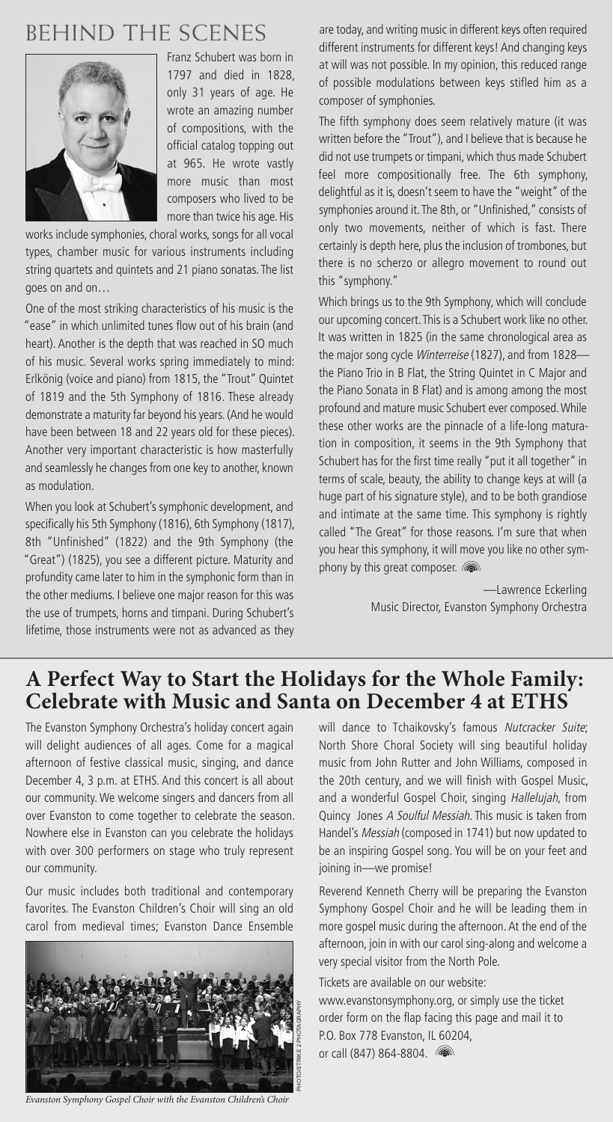### **BEHIND THE SCENES**



Franz Schubert was born in 1797 and died in 1828, only 31 years of age. He wrote an amazing number of compositions, with the official catalog topping out at 965. He wrote vastly more music than most composers who lived to be more than twice his age. His

works include symphonies, choral works, songs for all vocal types, chamber music for various instruments including string quartets and quintets and 21 piano sonatas. The list goes on and on…

One of the most striking characteristics of his music is the "ease" in which unlimited tunes flow out of his brain (and heart). Another is the depth that was reached in SO much of his music. Several works spring immediately to mind: Erlkönig (voice and piano) from 1815, the "Trout" Quintet of 1819 and the 5th Symphony of 1816. These already demonstrate a maturity far beyond his years. (And he would have been between 18 and 22 years old for these pieces). Another very important characteristic is how masterfully and seamlessly he changes from one key to another, known as modulation.

When you look at Schubert's symphonic development, and specifically his 5th Symphony (1816), 6th Symphony (1817), 8th "Unfinished" (1822) and the 9th Symphony (the "Great") (1825), you see a different picture. Maturity and profundity came later to him in the symphonic form than in the other mediums. I believe one major reason for this was the use of trumpets, horns and timpani. During Schubert's lifetime, those instruments were not as advanced as they

are today, and writing music in different keys often required different instruments for different keys! And changing keys at will was not possible. In my opinion, this reduced range of possible modulations between keys stifled him as a composer of symphonies.

The fifth symphony does seem relatively mature (it was written before the "Trout"), and I believe that is because he did not use trumpets or timpani, which thus made Schubert feel more compositionally free. The 6th symphony, delightful as it is, doesn't seem to have the "weight" of the symphonies around it. The 8th, or "Unfinished," consists of only two movements, neither of which is fast. There certainly is depth here, plus the inclusion of trombones, but there is no scherzo or allegro movement to round out this "symphony."

Which brings us to the 9th Symphony, which will conclude our upcoming concert. This is a Schubert work like no other. It was written in 1825 (in the same chronological area as the major song cycle Winterreise (1827), and from 1828 the Piano Trio in B Flat, the String Quintet in C Major and the Piano Sonata in B Flat) and is among among the most profound and mature music Schubert ever composed. While these other works are the pinnacle of a life-long maturation in composition, it seems in the 9th Symphony that Schubert has for the first time really "put it all together" in terms of scale, beauty, the ability to change keys at will (a huge part of his signature style), and to be both grandiose and intimate at the same time. This symphony is rightly called "The Great" for those reasons. I'm sure that when you hear this symphony, it will move you like no other symphony by this great composer.

> —Lawrence Eckerling Music Director, Evanston Symphony Orchestra

### **A Perfect Way to Start the Holidays for the Whole Family: Celebrate with Music and Santa on December 4 at ETHS**

The Evanston Symphony Orchestra's holiday concert again will delight audiences of all ages. Come for a magical afternoon of festive classical music, singing, and dance December 4, 3 p.m. at ETHS. And this concert is all about our community. We welcome singers and dancers from all over Evanston to come together to celebrate the season. Nowhere else in Evanston can you celebrate the holidays with over 300 performers on stage who truly represent our community.

Our music includes both traditional and contemporary favorites. The Evanston Children's Choir will sing an old carol from medieval times; Evanston Dance Ensemble



*Evanston Symphony Gospel Choir with the Evanston Children's Choir*

will dance to Tchaikovsky's famous Nutcracker Suite; North Shore Choral Society will sing beautiful holiday music from John Rutter and John Williams, composed in the 20th century, and we will finish with Gospel Music, and a wonderful Gospel Choir, singing Hallelujah, from Quincy Jones A Soulful Messiah. This music is taken from Handel's Messiah (composed in 1741) but now updated to be an inspiring Gospel song. You will be on your feet and joining in—we promise!

Reverend Kenneth Cherry will be preparing the Evanston Symphony Gospel Choir and he will be leading them in more gospel music during the afternoon. At the end of the afternoon, join in with our carol sing-along and welcome a very special visitor from the North Pole.

Tickets are available on our website: www.evanstonsymphony.org, or simply use the ticket order form on the flap facing this page and mail it to P.O. Box 778 Evanston, IL 60204, or call (847) 864-8804.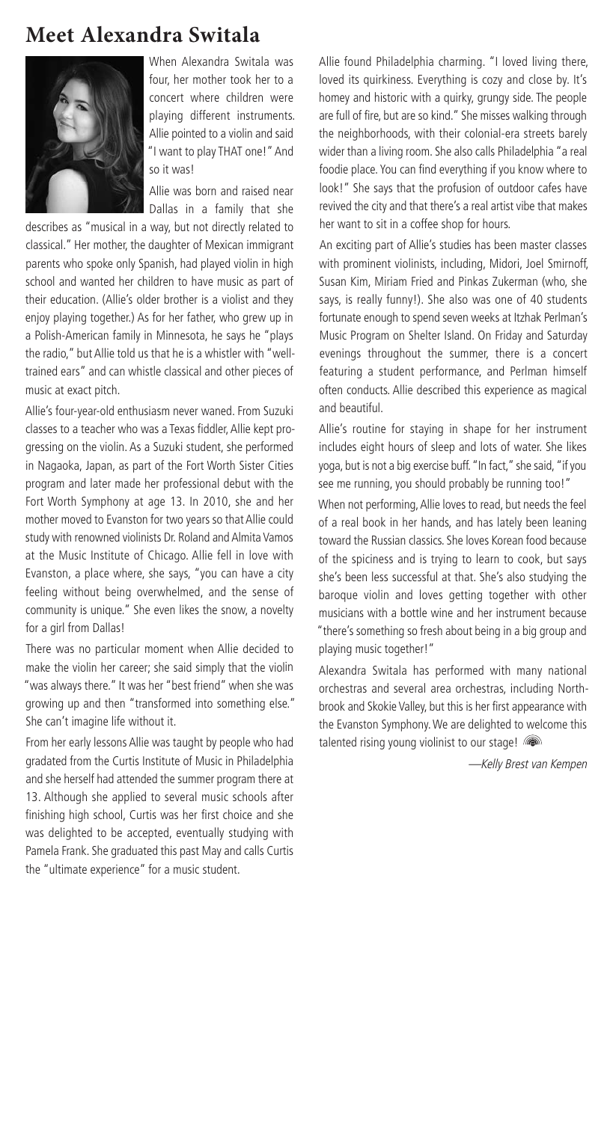### **Meet Alexandra Switala**



When Alexandra Switala was four, her mother took her to a concert where children were playing different instruments. Allie pointed to a violin and said "I want to play THAT one!" And so it was!

Allie was born and raised near Dallas in a family that she

describes as "musical in a way, but not directly related to classical." Her mother, the daughter of Mexican immigrant parents who spoke only Spanish, had played violin in high school and wanted her children to have music as part of their education. (Allie's older brother is a violist and they enjoy playing together.) As for her father, who grew up in a Polish-American family in Minnesota, he says he "plays the radio," but Allie told us that he is a whistler with "welltrained ears" and can whistle classical and other pieces of music at exact pitch.

Allie's four-year-old enthusiasm never waned. From Suzuki classes to a teacher who was a Texas fiddler, Allie kept progressing on the violin. As a Suzuki student, she performed in Nagaoka, Japan, as part of the Fort Worth Sister Cities program and later made her professional debut with the Fort Worth Symphony at age 13. In 2010, she and her mother moved to Evanston for two years so that Allie could study with renowned violinists Dr. Roland and Almita Vamos at the Music Institute of Chicago. Allie fell in love with Evanston, a place where, she says, "you can have a city feeling without being overwhelmed, and the sense of community is unique." She even likes the snow, a novelty for a girl from Dallas!

There was no particular moment when Allie decided to make the violin her career; she said simply that the violin "was always there." It was her "best friend" when she was growing up and then "transformed into something else." She can't imagine life without it.

From her early lessons Allie was taught by people who had gradated from the Curtis Institute of Music in Philadelphia and she herself had attended the summer program there at 13. Although she applied to several music schools after finishing high school, Curtis was her first choice and she was delighted to be accepted, eventually studying with Pamela Frank. She graduated this past May and calls Curtis the "ultimate experience" for a music student.

Allie found Philadelphia charming. "I loved living there, loved its quirkiness. Everything is cozy and close by. It's homey and historic with a quirky, grungy side. The people are full of fire, but are so kind." She misses walking through the neighborhoods, with their colonial-era streets barely wider than a living room. She also calls Philadelphia "a real foodie place. You can find everything if you know where to look!" She says that the profusion of outdoor cafes have revived the city and that there's a real artist vibe that makes her want to sit in a coffee shop for hours.

An exciting part of Allie's studies has been master classes with prominent violinists, including, Midori, Joel Smirnoff, Susan Kim, Miriam Fried and Pinkas Zukerman (who, she says, is really funny!). She also was one of 40 students fortunate enough to spend seven weeks at Itzhak Perlman's Music Program on Shelter Island. On Friday and Saturday evenings throughout the summer, there is a concert featuring a student performance, and Perlman himself often conducts. Allie described this experience as magical and beautiful.

Allie's routine for staying in shape for her instrument includes eight hours of sleep and lots of water. She likes yoga, but is not a big exercise buff. "In fact," she said, "if you see me running, you should probably be running too!"

When not performing, Allie loves to read, but needs the feel of a real book in her hands, and has lately been leaning toward the Russian classics. She loves Korean food because of the spiciness and is trying to learn to cook, but says she's been less successful at that. She's also studying the baroque violin and loves getting together with other musicians with a bottle wine and her instrument because "there's something so fresh about being in a big group and playing music together!"

Alexandra Switala has performed with many national orchestras and several area orchestras, including Northbrook and Skokie Valley, but this is her first appearance with the Evanston Symphony. We are delighted to welcome this talented rising young violinist to our stage!

—Kelly Brest van Kempen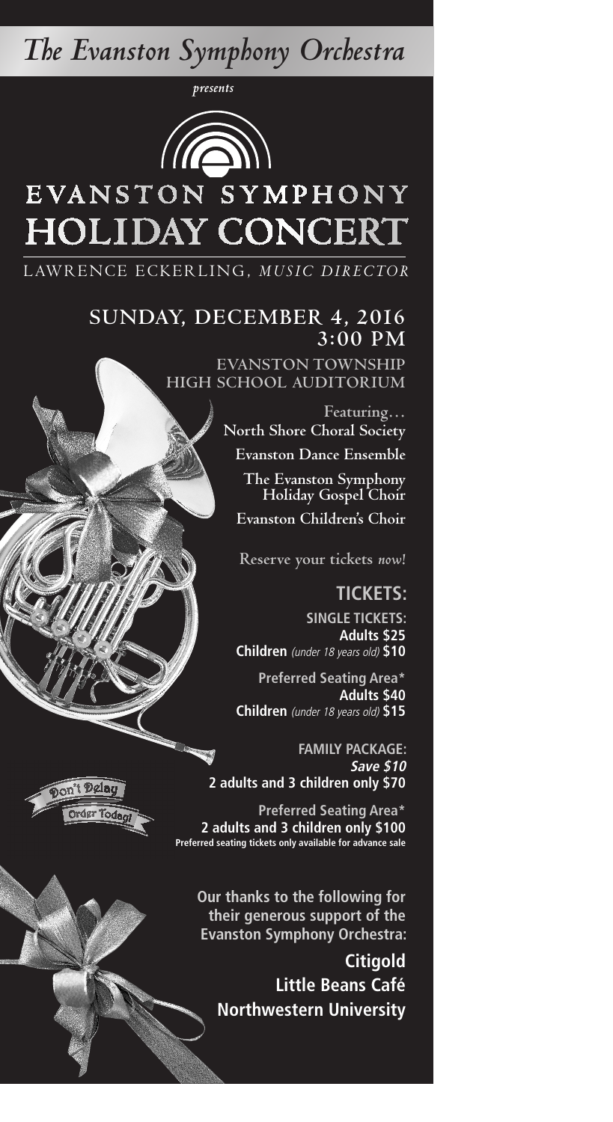## *The Evanston Symphony Orchestra*

*presents*



# EVANSTON SYMPHONY **HOLIDAY CONCERT**

LAWRENCE ECKERLING, MUSIC DIRECTOR

#### **SUNDAY, DECEMBER 4, 2016 3:00 PM**

**EVANSTON TOWNSHIP HIGH SCHOOL AUDITORIUM** 

> **Featuring… North Shore Choral Society**

**Evanston Dance Ensemble**

**The Evanston Symphony Holiday Gospel Choir Evanston Children's Choir**

**Reserve your tickets** *now***!**

**TICKETS:**

**SINGLE TICKETS: Adults \$25 Children** (under 18 years old) **\$10**

**Preferred Seating Area\* Adults \$40 Children** (under 18 years old) **\$15** 

**FAMILY PACKAGE: Save \$10 2 adults and 3 children only \$70**

**Preferred Seating Area\* 2 adults and 3 children only \$100 Preferred seating tickets only available for advance sale**

**Our thanks to the following for their generous support of the Evanston Symphony Orchestra:**

**Citigold Little Beans Café Northwestern University**